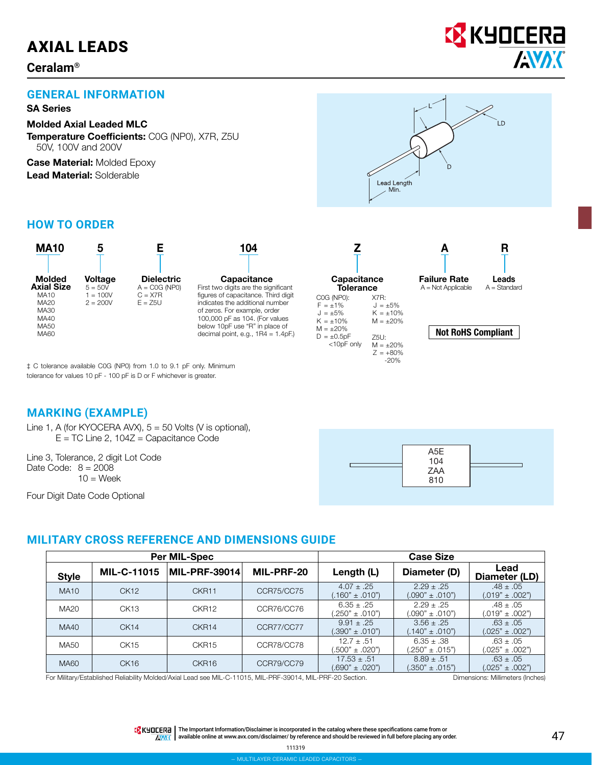# AXIAL LEADS

#### **Ceralam®**



#### **GENERAL INFORMATION**

#### SA Series

Molded Axial Leaded MLC Temperature Coefficients: C0G (NP0), X7R, Z5U 50V, 100V and 200V

**Case Material: Molded Epoxy** Lead Material: Solderable

# I D Lead Length Min.

#### **HOW TO ORDER**

| <b>MA10</b>                                       |                             |                                      | 104                                                                                                                                      |                                                                |                                                           |                                             | R                 |
|---------------------------------------------------|-----------------------------|--------------------------------------|------------------------------------------------------------------------------------------------------------------------------------------|----------------------------------------------------------------|-----------------------------------------------------------|---------------------------------------------|-------------------|
| <b>Molded</b><br><b>Axial Size</b>                | <b>Voltage</b><br>$5 = 50V$ | <b>Dielectric</b><br>$A = COG (NPO)$ | Capacitance<br>First two digits are the significant                                                                                      | <b>Capacitance</b><br>Tolerance                                |                                                           | <b>Failure Rate</b><br>$A = Not Apolicable$ | Lea<br>$A = Star$ |
| <b>MA10</b><br><b>MA20</b><br>MA30<br><b>MA40</b> | $= 100V$<br>$2 = 200V$      | $C = X7R$<br>$E = 75U$               | figures of capacitance. Third digit<br>indicates the additional number<br>of zeros. For example, order<br>100,000 pF as 104. (For values | C0G (NP0):<br>$F = \pm 1\%$<br>$J = \pm 5\%$<br>$K = \pm 10\%$ | X7R:<br>$J = \pm 5\%$<br>$K = \pm 10\%$<br>$M = \pm 20\%$ |                                             |                   |
| <b>MA50</b><br><b>MA60</b>                        |                             |                                      | below 10pF use "R" in place of<br>decimal point, e.g., $1R4 = 1.4pF$ .                                                                   | $M = \pm 20\%$<br>$D = +0.5nF$                                 | 7511.                                                     | <b>Not RoHS Compliar</b>                    |                   |

| Capacitance<br>Tolerance |             |
|--------------------------|-------------|
|                          |             |
| C0G (NP0):               | X7R:        |
| $F = +1\%$               | $J = +5\%$  |
| $1 = +5\%$               | $K = +10%$  |
| $K = +10\%$              | $M = +20%$  |
| $M = +20\%$              |             |
| $D = \pm 0.5pF$          | Z5U:        |
| <10pF only               | $M = +20%$  |
|                          | $Z = +80\%$ |
|                          | $-20%$      |
|                          |             |



#### Not RoHS Compliant

‡ C tolerance available C0G (NP0) from 1.0 to 9.1 pF only. Minimum tolerance for values 10 pF - 100 pF is D or F whichever is greater.

#### **MARKING (EXAMPLE)**

Line 1, A (for KYOCERA AVX), 5 = 50 Volts (V is optional),  $E = TC$  Line 2, 104 $Z =$  Capacitance Code

Line 3, Tolerance, 2 digit Lot Code Date Code:  $8 = 2008$  $10 =$  Week

Four Digit Date Code Optional



#### **MILITARY CROSS REFERENCE AND DIMENSIONS GUIDE**

|              |                    | <b>Per MIL-Spec</b> |            | <b>Case Size</b>                       |                                         |                                      |  |  |  |  |  |
|--------------|--------------------|---------------------|------------|----------------------------------------|-----------------------------------------|--------------------------------------|--|--|--|--|--|
| <b>Style</b> | <b>MIL-C-11015</b> | MIL-PRF-39014       | MIL-PRF-20 | Length (L)                             | Diameter (D)                            | Lead<br>Diameter (LD)                |  |  |  |  |  |
| <b>MA10</b>  | CK12               | CKR <sub>11</sub>   | CCR75/CC75 | $4.07 \pm .25$<br>$(.160" \pm .010")$  | $2.29 + .25$<br>$(.090" \pm .010")$     | $.48 \pm .05$<br>$(.019" \pm .002")$ |  |  |  |  |  |
| MA20         | CK13               | CKR <sub>12</sub>   | CCR76/CC76 | $6.35 \pm .25$<br>$(.250" \pm .010")$  | $2.29 \pm .25$<br>$(0.090" \pm 0.010")$ | $.48 \pm .05$<br>$(.019" + .002")$   |  |  |  |  |  |
| <b>MA40</b>  | CK14               | CKR <sub>14</sub>   | CCR77/CC77 | $9.91 \pm .25$<br>$(.390" \pm .010")$  | $3.56 \pm .25$<br>$(.140" \pm .010")$   | $.63 \pm .05$<br>$(.025" \pm .002")$ |  |  |  |  |  |
| MA50         | CK15               | CKR15               | CCR78/CC78 | $12.7 + .51$<br>$(.500" \pm .020")$    | $6.35 \pm .38$<br>$0.250" \pm .015"$    | $.63 \pm .05$<br>$0.025" \pm 0.002"$ |  |  |  |  |  |
| MA60         | CK <sub>16</sub>   | CKR <sub>16</sub>   | CCR79/CC79 | $17.53 \pm .51$<br>$(.690" \pm .020")$ | $8.89 \pm .51$<br>$(.350" \pm .015")$   | $.63 \pm .05$<br>$(.025" \pm .002")$ |  |  |  |  |  |

For Military/Established Reliability Molded/Axial Lead see MIL-C-11015, MIL-PRF-39014, MIL-PRF-20 Section. Dimensions: Millimeters (Inches)

TR KHOLERA | The Important Information/Disclaimer is incorporated in the catalog where these specifications came from or ID available online at [www.avx.com/disclaimer/](http://www.avx.com/disclaimer/) by reference and should be reviewed in full before placing any order. 47<br>available online at www.avx.com/disclaimer/ by reference and should be reviewed in full before placing  $\sqrt{N}$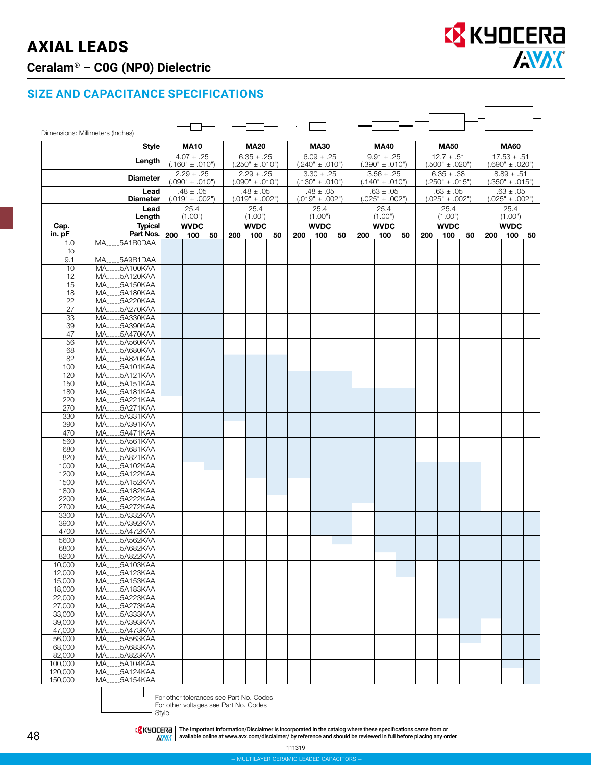# AXIAL LEADS **Ceralam® – C0G (NP0) Dielectric**



#### **SIZE AND CAPACITANCE SPECIFICATIONS**

|                  | Dimensions: Millimeters (Inches)<br><b>Style</b> |     | <b>MA10</b>                           |    |     | <b>MA20</b>                           |    |                                       | <b>MA30</b>                 |                                       |     | <b>MA40</b>                 |                                       |     | <b>MA50</b>                 |                                       |     | <b>MA60</b>                 |    |
|------------------|--------------------------------------------------|-----|---------------------------------------|----|-----|---------------------------------------|----|---------------------------------------|-----------------------------|---------------------------------------|-----|-----------------------------|---------------------------------------|-----|-----------------------------|---------------------------------------|-----|-----------------------------|----|
|                  | Length                                           |     | $4.07 \pm .25$                        |    |     | $6.35 \pm .25$                        |    | $6.09 \pm .25$                        |                             | $9.91 \pm .25$                        |     | $12.7 \pm .51$              |                                       |     |                             | $17.53 \pm .51$                       |     |                             |    |
|                  |                                                  |     | $(.160" \pm .010")$                   |    |     | $(.250" \pm .010")$<br>$2.29 \pm .25$ |    | $(.240" \pm .010")$                   |                             | $(.390" \pm .010")$                   |     |                             | $(.500" \pm .020")$<br>$6.35 \pm .38$ |     |                             | $(.690" \pm .020")$<br>$8.89 \pm .51$ |     |                             |    |
|                  | <b>Diameter</b>                                  |     | $2.29 \pm .25$<br>$(.090" \pm .010")$ |    |     | $(.090" \pm .010")$                   |    | $3.30 \pm .25$<br>$(.130" \pm .010")$ |                             | $3.56 \pm .25$<br>$(.140" \pm .010")$ |     |                             | $(.250" \pm .015")$                   |     |                             | $(.350" \pm .015")$                   |     |                             |    |
|                  | Lead<br><b>Diameter</b>                          |     | $.48 \pm .05$                         |    |     | $.48 \pm .05$                         |    |                                       | $.48 \pm .05$               |                                       |     | $.63 \pm .05$               |                                       |     | $.63 \pm .05$               |                                       |     | $.63 \pm .05$               |    |
|                  | Lead                                             |     | $(.019" \pm .002")$<br>25.4           |    |     | $(.019" \pm .002")$<br>25.4           |    |                                       | $(.019" \pm .002")$<br>25.4 |                                       |     | $(.025" \pm .002")$<br>25.4 |                                       |     | $(.025" \pm .002")$<br>25.4 |                                       |     | $(.025" \pm .002")$<br>25.4 |    |
|                  | Length                                           |     | (1.00")                               |    |     | (1.00")                               |    |                                       | (1.00")                     |                                       |     | (1.00")                     |                                       |     | (1.00")                     |                                       |     | (1.00")                     |    |
| Cap.<br>in. pF   | <b>Typical</b><br>Part Nos.                      | 200 | <b>WVDC</b><br>100                    | 50 | 200 | <b>WVDC</b><br>100                    | 50 | 200                                   | <b>WVDC</b><br>100          | 50                                    | 200 | <b>WVDC</b><br>100          | 50                                    | 200 | <b>WVDC</b><br>100          | 50                                    | 200 | <b>WVDC</b><br>100          | 50 |
| 1.0              | MA_____5A1R0DAA                                  |     |                                       |    |     |                                       |    |                                       |                             |                                       |     |                             |                                       |     |                             |                                       |     |                             |    |
| to<br>9.1        | MA5A9R1DAA                                       |     |                                       |    |     |                                       |    |                                       |                             |                                       |     |                             |                                       |     |                             |                                       |     |                             |    |
| 10               | MA5A100KAA                                       |     |                                       |    |     |                                       |    |                                       |                             |                                       |     |                             |                                       |     |                             |                                       |     |                             |    |
| 12               | MA5A120KAA                                       |     |                                       |    |     |                                       |    |                                       |                             |                                       |     |                             |                                       |     |                             |                                       |     |                             |    |
| 15               | MA5A150KAA                                       |     |                                       |    |     |                                       |    |                                       |                             |                                       |     |                             |                                       |     |                             |                                       |     |                             |    |
| 18               | MA5A180KAA                                       |     |                                       |    |     |                                       |    |                                       |                             |                                       |     |                             |                                       |     |                             |                                       |     |                             |    |
| 22<br>27         | MA5A220KAA<br>MA5A270KAA                         |     |                                       |    |     |                                       |    |                                       |                             |                                       |     |                             |                                       |     |                             |                                       |     |                             |    |
| 33               | MA <sub>-----</sub> 5A330KAA                     |     |                                       |    |     |                                       |    |                                       |                             |                                       |     |                             |                                       |     |                             |                                       |     |                             |    |
| 39               | MA5A390KAA                                       |     |                                       |    |     |                                       |    |                                       |                             |                                       |     |                             |                                       |     |                             |                                       |     |                             |    |
| 47               | MA5A470KAA                                       |     |                                       |    |     |                                       |    |                                       |                             |                                       |     |                             |                                       |     |                             |                                       |     |                             |    |
| 56               | MA5A560KAA                                       |     |                                       |    |     |                                       |    |                                       |                             |                                       |     |                             |                                       |     |                             |                                       |     |                             |    |
| 68<br>82         | MA5A680KAA<br>MA5A820KAA                         |     |                                       |    |     |                                       |    |                                       |                             |                                       |     |                             |                                       |     |                             |                                       |     |                             |    |
| 100              | MA5A101KAA                                       |     |                                       |    |     |                                       |    |                                       |                             |                                       |     |                             |                                       |     |                             |                                       |     |                             |    |
| 120              | MA5A121KAA                                       |     |                                       |    |     |                                       |    |                                       |                             |                                       |     |                             |                                       |     |                             |                                       |     |                             |    |
| 150              | MA5A151KAA                                       |     |                                       |    |     |                                       |    |                                       |                             |                                       |     |                             |                                       |     |                             |                                       |     |                             |    |
| 180              | MA5A181KAA                                       |     |                                       |    |     |                                       |    |                                       |                             |                                       |     |                             |                                       |     |                             |                                       |     |                             |    |
| 220<br>270       | MA5A221KAA<br>MA <sub>-----</sub> 5A271KAA       |     |                                       |    |     |                                       |    |                                       |                             |                                       |     |                             |                                       |     |                             |                                       |     |                             |    |
| 330              | MA5A331KAA                                       |     |                                       |    |     |                                       |    |                                       |                             |                                       |     |                             |                                       |     |                             |                                       |     |                             |    |
| 390              | MA5A391KAA                                       |     |                                       |    |     |                                       |    |                                       |                             |                                       |     |                             |                                       |     |                             |                                       |     |                             |    |
| 470              | MA5A471KAA                                       |     |                                       |    |     |                                       |    |                                       |                             |                                       |     |                             |                                       |     |                             |                                       |     |                             |    |
| 560              | MA <sub>-----</sub> 5A561KAA                     |     |                                       |    |     |                                       |    |                                       |                             |                                       |     |                             |                                       |     |                             |                                       |     |                             |    |
| 680<br>820       | MA5A681KAA<br>MA5A821KAA                         |     |                                       |    |     |                                       |    |                                       |                             |                                       |     |                             |                                       |     |                             |                                       |     |                             |    |
| 1000             | MA5A102KAA                                       |     |                                       |    |     |                                       |    |                                       |                             |                                       |     |                             |                                       |     |                             |                                       |     |                             |    |
| 1200             | MA <sub>1111</sub> 5A122KAA                      |     |                                       |    |     |                                       |    |                                       |                             |                                       |     |                             |                                       |     |                             |                                       |     |                             |    |
| 1500             | MA5A152KAA                                       |     |                                       |    |     |                                       |    |                                       |                             |                                       |     |                             |                                       |     |                             |                                       |     |                             |    |
| 1800             | MA5A182KAA                                       |     |                                       |    |     |                                       |    |                                       |                             |                                       |     |                             |                                       |     |                             |                                       |     |                             |    |
| 2200<br>2700     | MA5A222KAA<br>MA5A272KAA                         |     |                                       |    |     |                                       |    |                                       |                             |                                       |     |                             |                                       |     |                             |                                       |     |                             |    |
| 3300             | MA5A332KAA                                       |     |                                       |    |     |                                       |    |                                       |                             |                                       |     |                             |                                       |     |                             |                                       |     |                             |    |
| 3900             | MA5A392KAA                                       |     |                                       |    |     |                                       |    |                                       |                             |                                       |     |                             |                                       |     |                             |                                       |     |                             |    |
| 4700             | MA5A472KAA                                       |     |                                       |    |     |                                       |    |                                       |                             |                                       |     |                             |                                       |     |                             |                                       |     |                             |    |
| 5600             | MA <sub>-----</sub> 5A562KAA                     |     |                                       |    |     |                                       |    |                                       |                             |                                       |     |                             |                                       |     |                             |                                       |     |                             |    |
| 6800<br>8200     | MA5A682KAA<br>MA5A822KAA                         |     |                                       |    |     |                                       |    |                                       |                             |                                       |     |                             |                                       |     |                             |                                       |     |                             |    |
| 10,000           | MA <sub>1111</sub> 5A103KAA                      |     |                                       |    |     |                                       |    |                                       |                             |                                       |     |                             |                                       |     |                             |                                       |     |                             |    |
| 12,000           | MA 5A123KAA                                      |     |                                       |    |     |                                       |    |                                       |                             |                                       |     |                             |                                       |     |                             |                                       |     |                             |    |
| 15,000           | MA5A153KAA                                       |     |                                       |    |     |                                       |    |                                       |                             |                                       |     |                             |                                       |     |                             |                                       |     |                             |    |
| 18,000           | MA5A183KAA                                       |     |                                       |    |     |                                       |    |                                       |                             |                                       |     |                             |                                       |     |                             |                                       |     |                             |    |
| 22,000<br>27,000 | MA <sub>-----</sub> 5A223KAA<br>MA5A273KAA       |     |                                       |    |     |                                       |    |                                       |                             |                                       |     |                             |                                       |     |                             |                                       |     |                             |    |
| 33,000           | MA5A333KAA                                       |     |                                       |    |     |                                       |    |                                       |                             |                                       |     |                             |                                       |     |                             |                                       |     |                             |    |
| 39,000           | MA5A393KAA                                       |     |                                       |    |     |                                       |    |                                       |                             |                                       |     |                             |                                       |     |                             |                                       |     |                             |    |
| 47,000           | MA_____5A473KAA                                  |     |                                       |    |     |                                       |    |                                       |                             |                                       |     |                             |                                       |     |                             |                                       |     |                             |    |
| 56,000           | MA5A563KAA                                       |     |                                       |    |     |                                       |    |                                       |                             |                                       |     |                             |                                       |     |                             |                                       |     |                             |    |
| 68,000<br>82.000 | MA5A683KAA<br>MA5A823KAA                         |     |                                       |    |     |                                       |    |                                       |                             |                                       |     |                             |                                       |     |                             |                                       |     |                             |    |
| 100,000          | MA <sub>-----</sub> 5A104KAA                     |     |                                       |    |     |                                       |    |                                       |                             |                                       |     |                             |                                       |     |                             |                                       |     |                             |    |
| 120,000          | MA5A124KAA                                       |     |                                       |    |     |                                       |    |                                       |                             |                                       |     |                             |                                       |     |                             |                                       |     |                             |    |
| 150,000          | MA5A154KAA                                       |     |                                       |    |     |                                       |    |                                       |                             |                                       |     |                             |                                       |     |                             |                                       |     |                             |    |



For other tolerances see Part No. Codes

For other voltages see Part No. Codes

- Style

IThe Important Information/Disclaimer is incorporated in the catalog where these specifications came from or الكلام<br>AB available online at [www.avx.com/disclaimer/](http://www.avx.com/disclaimer/) by reference and should be reviewed in full before placin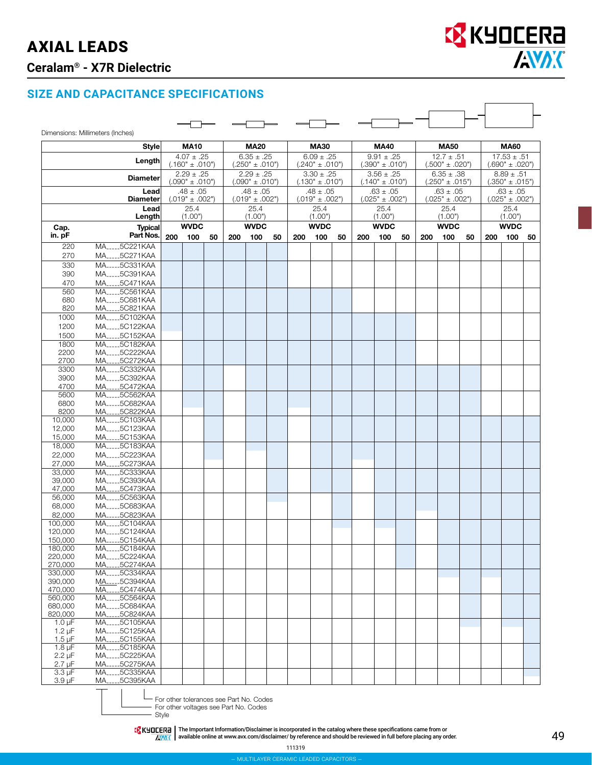## AXIAL LEADS **Ceralam® - X7R Dielectric**

┑

 $\Gamma$ 

#### **SIZE AND CAPACITANCE SPECIFICATIONS**

|                            | Dimensions: Millimeters (Inches) |     |                                      |    |     |                                       |    |                                       |                                      |                                     |     |                                      |                                       |                     |                                      |                                        |                     |                                      |    |
|----------------------------|----------------------------------|-----|--------------------------------------|----|-----|---------------------------------------|----|---------------------------------------|--------------------------------------|-------------------------------------|-----|--------------------------------------|---------------------------------------|---------------------|--------------------------------------|----------------------------------------|---------------------|--------------------------------------|----|
|                            | <b>Style</b>                     |     | <b>MA10</b>                          |    |     | <b>MA20</b>                           |    |                                       | <b>MA30</b>                          |                                     |     | <b>MA40</b>                          |                                       |                     | <b>MA50</b>                          |                                        |                     | <b>MA60</b>                          |    |
|                            | Length                           |     | $4.07 \pm .25$                       |    |     | $6.35 \pm .25$<br>$(.250" \pm .010")$ |    | $6.09 \pm .25$                        |                                      | $9.91 \pm .25$                      |     |                                      | $12.7 \pm .51$                        |                     |                                      | $17.53 \pm .51$<br>$(.690" \pm .020")$ |                     |                                      |    |
|                            |                                  |     | $(.160" \pm .010")$<br>$2.29 + .25$  |    |     | $2.29 \pm .25$                        |    | $(.240" \pm .010")$<br>$3.30 \pm .25$ |                                      | $(.390" \pm .010")$<br>$3.56 + .25$ |     |                                      | $(.500" \pm .020")$<br>$6.35 \pm .38$ |                     |                                      | $8.89 \pm .51$                         |                     |                                      |    |
|                            | <b>Diameter</b>                  |     | $(.090" \pm .010")$                  |    |     | $(.090" \pm .010")$                   |    |                                       | $(.130" \pm .010")$                  |                                     |     | $(.140" \pm .010")$                  |                                       | $(.250" \pm .015")$ |                                      |                                        | $(.350" \pm .015")$ |                                      |    |
|                            | Lead<br><b>Diameter</b>          |     | $.48 \pm .05$<br>$(.019" \pm .002")$ |    |     | $.48 \pm .05$<br>$(.019" \pm .002")$  |    |                                       | $.48 \pm .05$<br>$(.019" \pm .002")$ |                                     |     | $.63 \pm .05$<br>$(.025" \pm .002")$ |                                       |                     | $.63 \pm .05$<br>$(.025" \pm .002")$ |                                        |                     | $.63 \pm .05$<br>$(.025" \pm .002")$ |    |
|                            | Lead                             |     | 25.4                                 |    |     | 25.4                                  |    |                                       | 25.4                                 |                                     |     | 25.4                                 |                                       |                     | 25.4                                 |                                        |                     | 25.4                                 |    |
|                            | Length                           |     | (1.00")<br><b>WVDC</b>               |    |     | (1.00")<br><b>WVDC</b>                |    |                                       | (1.00")<br><b>WVDC</b>               |                                     |     | (1.00")<br><b>WVDC</b>               |                                       |                     | (1.00")<br><b>WVDC</b>               |                                        |                     | (1.00")<br><b>WVDC</b>               |    |
| Cap.<br>in. pF             | <b>Typical</b><br>Part Nos.      | 200 | 100                                  | 50 | 200 | 100                                   | 50 | 200                                   | 100                                  | 50                                  | 200 | 100                                  | 50                                    | 200                 | 100                                  | 50                                     | 200                 | 100                                  | 50 |
| 220                        | MA5C221KAA                       |     |                                      |    |     |                                       |    |                                       |                                      |                                     |     |                                      |                                       |                     |                                      |                                        |                     |                                      |    |
| 270                        | MA5C271KAA                       |     |                                      |    |     |                                       |    |                                       |                                      |                                     |     |                                      |                                       |                     |                                      |                                        |                     |                                      |    |
| 330<br>390                 | MA5C331KAA<br>MA5C391KAA         |     |                                      |    |     |                                       |    |                                       |                                      |                                     |     |                                      |                                       |                     |                                      |                                        |                     |                                      |    |
| 470                        | MA5C471KAA                       |     |                                      |    |     |                                       |    |                                       |                                      |                                     |     |                                      |                                       |                     |                                      |                                        |                     |                                      |    |
| 560                        | MA5C561KAA                       |     |                                      |    |     |                                       |    |                                       |                                      |                                     |     |                                      |                                       |                     |                                      |                                        |                     |                                      |    |
| 680<br>820                 | MA5C681KAA<br>MA5C821KAA         |     |                                      |    |     |                                       |    |                                       |                                      |                                     |     |                                      |                                       |                     |                                      |                                        |                     |                                      |    |
| 1000                       | MA5C102KAA                       |     |                                      |    |     |                                       |    |                                       |                                      |                                     |     |                                      |                                       |                     |                                      |                                        |                     |                                      |    |
| 1200                       | MA5C122KAA                       |     |                                      |    |     |                                       |    |                                       |                                      |                                     |     |                                      |                                       |                     |                                      |                                        |                     |                                      |    |
| 1500<br>1800               | MA5C152KAA<br>MA5C182KAA         |     |                                      |    |     |                                       |    |                                       |                                      |                                     |     |                                      |                                       |                     |                                      |                                        |                     |                                      |    |
| 2200                       | MA5C222KAA                       |     |                                      |    |     |                                       |    |                                       |                                      |                                     |     |                                      |                                       |                     |                                      |                                        |                     |                                      |    |
| 2700                       | MA5C272KAA                       |     |                                      |    |     |                                       |    |                                       |                                      |                                     |     |                                      |                                       |                     |                                      |                                        |                     |                                      |    |
| 3300<br>3900               | MA5C332KAA<br>MA5C392KAA         |     |                                      |    |     |                                       |    |                                       |                                      |                                     |     |                                      |                                       |                     |                                      |                                        |                     |                                      |    |
| 4700                       | MA5C472KAA                       |     |                                      |    |     |                                       |    |                                       |                                      |                                     |     |                                      |                                       |                     |                                      |                                        |                     |                                      |    |
| 5600                       | MA5C562KAA                       |     |                                      |    |     |                                       |    |                                       |                                      |                                     |     |                                      |                                       |                     |                                      |                                        |                     |                                      |    |
| 6800<br>8200               | MA5C682KAA<br>MA5C822KAA         |     |                                      |    |     |                                       |    |                                       |                                      |                                     |     |                                      |                                       |                     |                                      |                                        |                     |                                      |    |
| 10,000                     | MA5C103KAA                       |     |                                      |    |     |                                       |    |                                       |                                      |                                     |     |                                      |                                       |                     |                                      |                                        |                     |                                      |    |
| 12,000                     | MA5C123KAA                       |     |                                      |    |     |                                       |    |                                       |                                      |                                     |     |                                      |                                       |                     |                                      |                                        |                     |                                      |    |
| 15,000<br>18,000           | MA5C153KAA<br>MA5C183KAA         |     |                                      |    |     |                                       |    |                                       |                                      |                                     |     |                                      |                                       |                     |                                      |                                        |                     |                                      |    |
| 22,000                     | MA5C223KAA                       |     |                                      |    |     |                                       |    |                                       |                                      |                                     |     |                                      |                                       |                     |                                      |                                        |                     |                                      |    |
| 27,000                     | MA5C273KAA                       |     |                                      |    |     |                                       |    |                                       |                                      |                                     |     |                                      |                                       |                     |                                      |                                        |                     |                                      |    |
| 33,000                     | MA5C333KAA<br>MA5C393KAA         |     |                                      |    |     |                                       |    |                                       |                                      |                                     |     |                                      |                                       |                     |                                      |                                        |                     |                                      |    |
| 39,000<br>47,000           | MA5C473KAA                       |     |                                      |    |     |                                       |    |                                       |                                      |                                     |     |                                      |                                       |                     |                                      |                                        |                     |                                      |    |
| 56,000                     | MA5C563KAA                       |     |                                      |    |     |                                       |    |                                       |                                      |                                     |     |                                      |                                       |                     |                                      |                                        |                     |                                      |    |
| 68,000                     | MA5C683KAA<br>MA5C823KAA         |     |                                      |    |     |                                       |    |                                       |                                      |                                     |     |                                      |                                       |                     |                                      |                                        |                     |                                      |    |
| 82,000<br>100,000          | MA5C104KAA                       |     |                                      |    |     |                                       |    |                                       |                                      |                                     |     |                                      |                                       |                     |                                      |                                        |                     |                                      |    |
| 120,000                    | MA5C124KAA                       |     |                                      |    |     |                                       |    |                                       |                                      |                                     |     |                                      |                                       |                     |                                      |                                        |                     |                                      |    |
| 150,000<br>180,000         | MA_____5C154KAA<br>MA5C184KAA    |     |                                      |    |     |                                       |    |                                       |                                      |                                     |     |                                      |                                       |                     |                                      |                                        |                     |                                      |    |
| 220,000                    | MA5C224KAA                       |     |                                      |    |     |                                       |    |                                       |                                      |                                     |     |                                      |                                       |                     |                                      |                                        |                     |                                      |    |
| 270,000                    | MA5C274KAA                       |     |                                      |    |     |                                       |    |                                       |                                      |                                     |     |                                      |                                       |                     |                                      |                                        |                     |                                      |    |
| 330,000<br>390,000         | MA5C334KAA<br>MA_____5C394KAA    |     |                                      |    |     |                                       |    |                                       |                                      |                                     |     |                                      |                                       |                     |                                      |                                        |                     |                                      |    |
| 470,000                    | MA <sub>-----</sub> 5C474KAA     |     |                                      |    |     |                                       |    |                                       |                                      |                                     |     |                                      |                                       |                     |                                      |                                        |                     |                                      |    |
| 560,000<br>680,000         | MA5C564KAA<br>MA5C684KAA         |     |                                      |    |     |                                       |    |                                       |                                      |                                     |     |                                      |                                       |                     |                                      |                                        |                     |                                      |    |
| 820,000                    | MA5C824KAA                       |     |                                      |    |     |                                       |    |                                       |                                      |                                     |     |                                      |                                       |                     |                                      |                                        |                     |                                      |    |
| $1.0 \mu F$                | MA5C105KAA                       |     |                                      |    |     |                                       |    |                                       |                                      |                                     |     |                                      |                                       |                     |                                      |                                        |                     |                                      |    |
| $1.2 \mu F$<br>$1.5 \mu F$ | MA5C125KAA<br>MA5C155KAA         |     |                                      |    |     |                                       |    |                                       |                                      |                                     |     |                                      |                                       |                     |                                      |                                        |                     |                                      |    |
| $1.8 \mu F$                | MA <sub>-----</sub> 5C185KAA     |     |                                      |    |     |                                       |    |                                       |                                      |                                     |     |                                      |                                       |                     |                                      |                                        |                     |                                      |    |
| $2.2 \mu F$                | MA <sub>45</sub> 5C225KAA        |     |                                      |    |     |                                       |    |                                       |                                      |                                     |     |                                      |                                       |                     |                                      |                                        |                     |                                      |    |
| $2.7 \mu F$<br>$3.3 \mu F$ | MA_____5C275KAA<br>MA5C335KAA    |     |                                      |    |     |                                       |    |                                       |                                      |                                     |     |                                      |                                       |                     |                                      |                                        |                     |                                      |    |
| $3.9 \mu F$                | MA5C395KAA                       |     |                                      |    |     |                                       |    |                                       |                                      |                                     |     |                                      |                                       |                     |                                      |                                        |                     |                                      |    |



For other tolerances see Part No. Codes

For other voltages see Part No. Codes

- Style

The Important Information/Disclaimer is incorporated in the catalog where these specifications came from or<br>available online at [www.avx.com/disclaimer/](http://www.avx.com/disclaimer/) by reference and should be reviewed in full before placing any order.

111319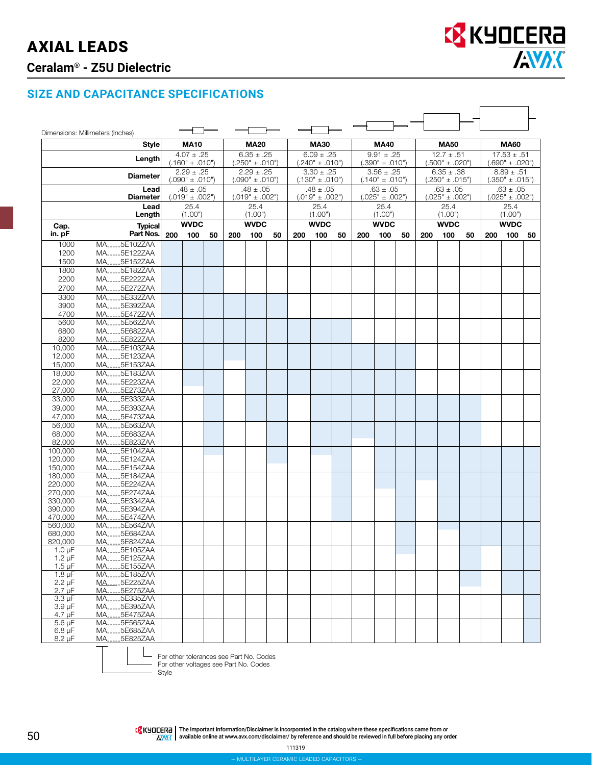# AXIAL LEADS

## **Ceralam® - Z5U Dielectric**



#### **SIZE AND CAPACITANCE SPECIFICATIONS**

|                            | Dimensions: Millimeters (Inches)                |     |                                       |    |     |                                       |    |                                       |                     |                                       |     |                     |                                       |                                       |                     |    |                                        |                     |    |
|----------------------------|-------------------------------------------------|-----|---------------------------------------|----|-----|---------------------------------------|----|---------------------------------------|---------------------|---------------------------------------|-----|---------------------|---------------------------------------|---------------------------------------|---------------------|----|----------------------------------------|---------------------|----|
|                            | <b>Style</b>                                    |     | <b>MA10</b>                           |    |     | <b>MA20</b>                           |    |                                       | <b>MA30</b>         |                                       |     | <b>MA40</b>         |                                       |                                       | <b>MA50</b>         |    |                                        | <b>MA60</b>         |    |
|                            | Lenath                                          |     | $4.07 \pm .25$<br>$(.160" \pm .010")$ |    |     | $6.35 \pm .25$<br>$(.250" \pm .010")$ |    | $6.09 \pm .25$<br>("010. ± "240.)     |                     | $9.91 \pm .25$<br>$(.390" \pm .010")$ |     |                     |                                       | $12.7 \pm .51$<br>$(.500" \pm .020")$ |                     |    | $17.53 \pm .51$<br>$(.690" \pm .020")$ |                     |    |
|                            | <b>Diameter</b>                                 |     | $2.29 \pm .25$<br>$(.090" \pm .010")$ |    |     | $2.29 \pm .25$<br>$(.090" \pm .010")$ |    | $3.30 \pm .25$<br>$(.130" \pm .010")$ |                     | $3.56 \pm .25$<br>$(.140" \pm .010")$ |     |                     | $6.35 \pm .38$<br>$(.250" \pm .015")$ |                                       |                     |    | $8.89 \pm .51$<br>$(.350" \pm .015")$  |                     |    |
|                            | Lead                                            |     | $.48 \pm .05$                         |    |     | $.48 \pm .05$                         |    |                                       | $.48 \pm .05$       |                                       |     | $.63 \pm .05$       |                                       | $.63 \pm .05$                         |                     |    | $.63 \pm .05$                          |                     |    |
|                            | <b>Diameter</b>                                 |     | $(.019" \pm .002")$                   |    |     | $(.019" \pm .002")$                   |    |                                       | $(.019" \pm .002")$ |                                       |     | $(.025" \pm .002")$ |                                       |                                       | $(.025" \pm .002")$ |    |                                        | $(.025" \pm .002")$ |    |
|                            | Lead<br>Length                                  |     | 25.4<br>(1.00")                       |    |     | 25.4<br>(1.00")                       |    |                                       | 25.4<br>(1.00")     |                                       |     | 25.4<br>(1.00")     |                                       |                                       | 25.4<br>(1.00")     |    |                                        | 25.4<br>(1.00")     |    |
| Cap.                       | <b>Typical</b>                                  |     | <b>WVDC</b>                           |    |     | <b>WVDC</b>                           |    |                                       | <b>WVDC</b>         |                                       |     | <b>WVDC</b>         |                                       |                                       | <b>WVDC</b>         |    |                                        | <b>WVDC</b>         |    |
| in. pF                     | Part Nos.                                       | 200 | 100                                   | 50 | 200 | 100                                   | 50 | 200                                   | 100                 | 50                                    | 200 | 100                 | 50                                    | 200                                   | 100                 | 50 | 200                                    | 100                 | 50 |
| 1000<br>1200               | MA5E102ZAA<br>MA5E122ZAA                        |     |                                       |    |     |                                       |    |                                       |                     |                                       |     |                     |                                       |                                       |                     |    |                                        |                     |    |
| 1500                       | MA5E152ZAA                                      |     |                                       |    |     |                                       |    |                                       |                     |                                       |     |                     |                                       |                                       |                     |    |                                        |                     |    |
| 1800                       | MA5E182ZAA                                      |     |                                       |    |     |                                       |    |                                       |                     |                                       |     |                     |                                       |                                       |                     |    |                                        |                     |    |
| 2200                       | MA5E222ZAA                                      |     |                                       |    |     |                                       |    |                                       |                     |                                       |     |                     |                                       |                                       |                     |    |                                        |                     |    |
| 2700                       | MA5E272ZAA                                      |     |                                       |    |     |                                       |    |                                       |                     |                                       |     |                     |                                       |                                       |                     |    |                                        |                     |    |
| 3300                       | MA5E332ZAA                                      |     |                                       |    |     |                                       |    |                                       |                     |                                       |     |                     |                                       |                                       |                     |    |                                        |                     |    |
| 3900                       | MA5E392ZAA                                      |     |                                       |    |     |                                       |    |                                       |                     |                                       |     |                     |                                       |                                       |                     |    |                                        |                     |    |
| 4700                       | MA5E472ZAA                                      |     |                                       |    |     |                                       |    |                                       |                     |                                       |     |                     |                                       |                                       |                     |    |                                        |                     |    |
| 5600                       | MA5E562ZAA<br>MA5E682ZAA                        |     |                                       |    |     |                                       |    |                                       |                     |                                       |     |                     |                                       |                                       |                     |    |                                        |                     |    |
| 6800<br>8200               | MA5E822ZAA                                      |     |                                       |    |     |                                       |    |                                       |                     |                                       |     |                     |                                       |                                       |                     |    |                                        |                     |    |
| 10,000                     | MA <sub>-----</sub> 5E103ZAA                    |     |                                       |    |     |                                       |    |                                       |                     |                                       |     |                     |                                       |                                       |                     |    |                                        |                     |    |
| 12,000                     | MA5E123ZAA                                      |     |                                       |    |     |                                       |    |                                       |                     |                                       |     |                     |                                       |                                       |                     |    |                                        |                     |    |
| 15,000                     | MA5E153ZAA                                      |     |                                       |    |     |                                       |    |                                       |                     |                                       |     |                     |                                       |                                       |                     |    |                                        |                     |    |
| 18,000                     | MA5E183ZAA                                      |     |                                       |    |     |                                       |    |                                       |                     |                                       |     |                     |                                       |                                       |                     |    |                                        |                     |    |
| 22,000                     | MA5E223ZAA                                      |     |                                       |    |     |                                       |    |                                       |                     |                                       |     |                     |                                       |                                       |                     |    |                                        |                     |    |
| 27,000                     | MA5E273ZAA                                      |     |                                       |    |     |                                       |    |                                       |                     |                                       |     |                     |                                       |                                       |                     |    |                                        |                     |    |
| 33,000                     | MA5E333ZAA                                      |     |                                       |    |     |                                       |    |                                       |                     |                                       |     |                     |                                       |                                       |                     |    |                                        |                     |    |
| 39,000<br>47,000           | MA5E393ZAA<br>MA5E473ZAA                        |     |                                       |    |     |                                       |    |                                       |                     |                                       |     |                     |                                       |                                       |                     |    |                                        |                     |    |
| 56,000                     | MA5E563ZAA                                      |     |                                       |    |     |                                       |    |                                       |                     |                                       |     |                     |                                       |                                       |                     |    |                                        |                     |    |
| 68,000                     | MA5E683ZAA                                      |     |                                       |    |     |                                       |    |                                       |                     |                                       |     |                     |                                       |                                       |                     |    |                                        |                     |    |
| 82,000                     | MA5E823ZAA                                      |     |                                       |    |     |                                       |    |                                       |                     |                                       |     |                     |                                       |                                       |                     |    |                                        |                     |    |
| 100,000                    | MA5E104ZAA                                      |     |                                       |    |     |                                       |    |                                       |                     |                                       |     |                     |                                       |                                       |                     |    |                                        |                     |    |
| 120,000                    | MA <sub>1111</sub> 5E124ZAA                     |     |                                       |    |     |                                       |    |                                       |                     |                                       |     |                     |                                       |                                       |                     |    |                                        |                     |    |
| 150,000                    | MA_____5E154ZAA                                 |     |                                       |    |     |                                       |    |                                       |                     |                                       |     |                     |                                       |                                       |                     |    |                                        |                     |    |
| 180,000<br>220,000         | MA5E184ZAA<br>MA5E224ZAA                        |     |                                       |    |     |                                       |    |                                       |                     |                                       |     |                     |                                       |                                       |                     |    |                                        |                     |    |
| 270.000                    | MA5E274ZAA                                      |     |                                       |    |     |                                       |    |                                       |                     |                                       |     |                     |                                       |                                       |                     |    |                                        |                     |    |
| 330,000                    | MA5E334ZAA                                      |     |                                       |    |     |                                       |    |                                       |                     |                                       |     |                     |                                       |                                       |                     |    |                                        |                     |    |
| 390,000                    | MA____5E394ZAA                                  |     |                                       |    |     |                                       |    |                                       |                     |                                       |     |                     |                                       |                                       |                     |    |                                        |                     |    |
| 470,000                    | MA5E474ZAA                                      |     |                                       |    |     |                                       |    |                                       |                     |                                       |     |                     |                                       |                                       |                     |    |                                        |                     |    |
| 560,000<br>680,000         | MA 5E564ZAA<br>MA5E684ZAA                       |     |                                       |    |     |                                       |    |                                       |                     |                                       |     |                     |                                       |                                       |                     |    |                                        |                     |    |
| 820,000                    | MA 5F8247AA                                     |     |                                       |    |     |                                       |    |                                       |                     |                                       |     |                     |                                       |                                       |                     |    |                                        |                     |    |
| $1.0 \mu F$                | MA5E105ZAA                                      |     |                                       |    |     |                                       |    |                                       |                     |                                       |     |                     |                                       |                                       |                     |    |                                        |                     |    |
| $1.2 \mu F$                | MA5E125ZAA                                      |     |                                       |    |     |                                       |    |                                       |                     |                                       |     |                     |                                       |                                       |                     |    |                                        |                     |    |
| $1.5 \mu F$                | MA5E155ZAA                                      |     |                                       |    |     |                                       |    |                                       |                     |                                       |     |                     |                                       |                                       |                     |    |                                        |                     |    |
| $1.8 \mu F$                | MA <sub>-----</sub> 5E185ZAA<br>MA_____5E225ZAA |     |                                       |    |     |                                       |    |                                       |                     |                                       |     |                     |                                       |                                       |                     |    |                                        |                     |    |
| $2.2 \mu F$<br>$2.7 \mu F$ | MA5E275ZAA                                      |     |                                       |    |     |                                       |    |                                       |                     |                                       |     |                     |                                       |                                       |                     |    |                                        |                     |    |
| $3.3 \mu F$                | MA5E335ZAA                                      |     |                                       |    |     |                                       |    |                                       |                     |                                       |     |                     |                                       |                                       |                     |    |                                        |                     |    |
| $3.9 \mu F$                | MA5E395ZAA                                      |     |                                       |    |     |                                       |    |                                       |                     |                                       |     |                     |                                       |                                       |                     |    |                                        |                     |    |
| $4.7 \mu F$                | MA____5E475ZAA                                  |     |                                       |    |     |                                       |    |                                       |                     |                                       |     |                     |                                       |                                       |                     |    |                                        |                     |    |
| $5.6 \,\mu F$              | MA 5E565ZAA                                     |     |                                       |    |     |                                       |    |                                       |                     |                                       |     |                     |                                       |                                       |                     |    |                                        |                     |    |
| $6.8 \mu F$<br>$8.2 \mu F$ | MA5E685ZAA<br>MA5E825ZAA                        |     |                                       |    |     |                                       |    |                                       |                     |                                       |     |                     |                                       |                                       |                     |    |                                        |                     |    |
|                            |                                                 |     |                                       |    |     |                                       |    |                                       |                     |                                       |     |                     |                                       |                                       |                     |    |                                        |                     |    |

For other tolerances see Part No. Codes

For other voltages see Part No. Codes Style

EX KHOLERE | The Important Information/Disclaimer is incorporated in the catalog where these specifications came from or<br>A available online at [www.avx.com/disclaimer/](http://www.avx.com/disclaimer/) by reference and should be reviewed in full before pl

111319